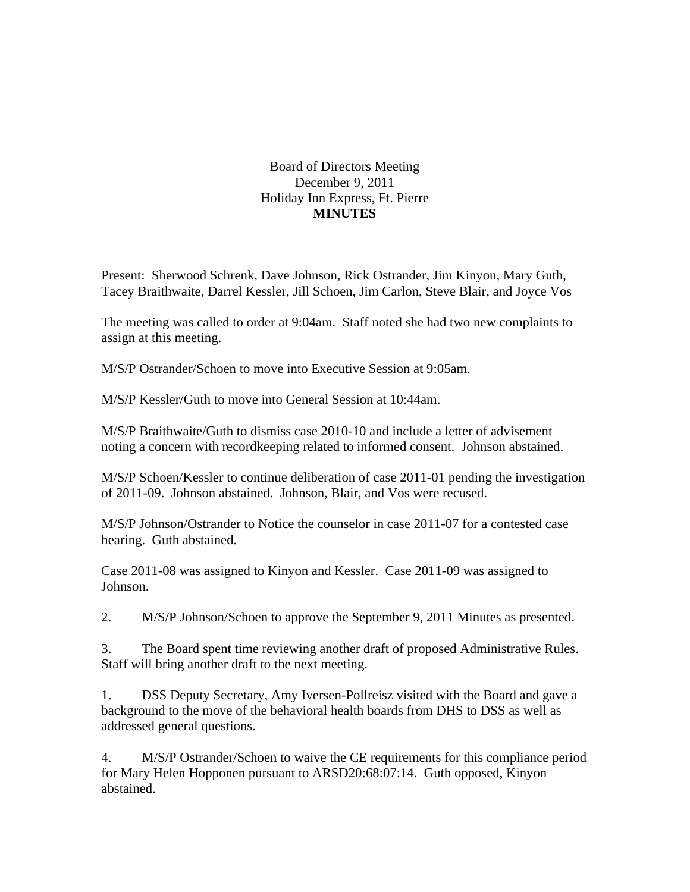## Board of Directors Meeting December 9, 2011 Holiday Inn Express, Ft. Pierre **MINUTES**

Present: Sherwood Schrenk, Dave Johnson, Rick Ostrander, Jim Kinyon, Mary Guth, Tacey Braithwaite, Darrel Kessler, Jill Schoen, Jim Carlon, Steve Blair, and Joyce Vos

The meeting was called to order at 9:04am. Staff noted she had two new complaints to assign at this meeting.

M/S/P Ostrander/Schoen to move into Executive Session at 9:05am.

M/S/P Kessler/Guth to move into General Session at 10:44am.

M/S/P Braithwaite/Guth to dismiss case 2010-10 and include a letter of advisement noting a concern with recordkeeping related to informed consent. Johnson abstained.

M/S/P Schoen/Kessler to continue deliberation of case 2011-01 pending the investigation of 2011-09. Johnson abstained. Johnson, Blair, and Vos were recused.

M/S/P Johnson/Ostrander to Notice the counselor in case 2011-07 for a contested case hearing. Guth abstained.

Case 2011-08 was assigned to Kinyon and Kessler. Case 2011-09 was assigned to Johnson.

2. M/S/P Johnson/Schoen to approve the September 9, 2011 Minutes as presented.

3. The Board spent time reviewing another draft of proposed Administrative Rules. Staff will bring another draft to the next meeting.

1. DSS Deputy Secretary, Amy Iversen-Pollreisz visited with the Board and gave a background to the move of the behavioral health boards from DHS to DSS as well as addressed general questions.

4. M/S/P Ostrander/Schoen to waive the CE requirements for this compliance period for Mary Helen Hopponen pursuant to ARSD20:68:07:14. Guth opposed, Kinyon abstained.